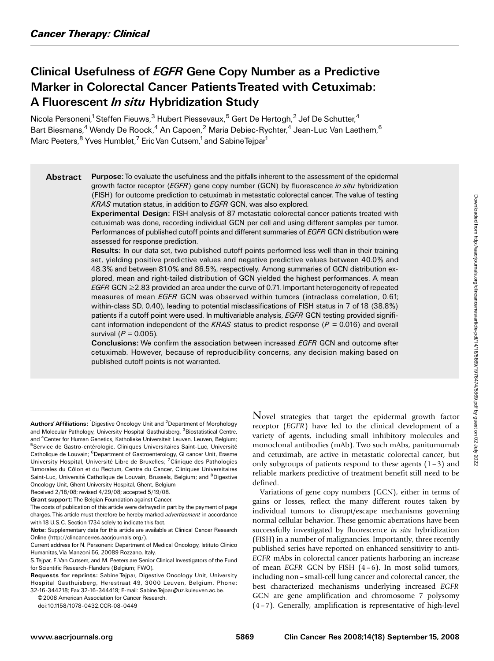# Clinical Usefulness of EGFR Gene Copy Number as a Predictive Marker in Colorectal Cancer PatientsTreated with Cetuximab: A Fluorescent *In situ* Hybridization Study

Nicola Personeni,<sup>1</sup> Steffen Fieuws,<sup>3</sup> Hubert Piessevaux,<sup>5</sup> Gert De Hertogh,<sup>2</sup> Jef De Schutter,<sup>4</sup> Bart Biesmans,<sup>4</sup> Wendy De Roock,<sup>4</sup> An Capoen,<sup>2</sup> Maria Debiec-Rychter,<sup>4</sup> Jean-Luc Van Laethem,<sup>6</sup> Marc Peeters, <sup>8</sup> Yves Humblet,<sup>7</sup> Eric Van Cutsem,<sup>1</sup> and Sabine Tejpar<sup>1</sup>

Abstract Purpose: To evaluate the usefulness and the pitfalls inherent to the assessment of the epidermal growth factor receptor (EGFR) gene copy number (GCN) by fluorescence in situ hybridization (FISH) for outcome prediction to cetuximab in metastatic colorectal cancer. The value of testing KRAS mutation status, in addition to EGFR GCN, was also explored.

Experimental Design: FISH analysis of 87 metastatic colorectal cancer patients treated with cetuximab was done, recording individual GCN per cell and using different samples per tumor. Performances of published cutoff points and different summaries of EGFR GCN distribution were assessed for response prediction.

Results: In our data set, two published cutoff points performed less well than in their training set, yielding positive predictive values and negative predictive values between 40.0% and 48.3% and between 81.0% and 86.5%, respectively. Among summaries of GCN distribution explored, mean and right-tailed distribution of GCN yielded the highest performances. A mean EGFR GCN  $\geq$  2.83 provided an area under the curve of 0.71. Important heterogeneity of repeated measures of mean EGFR GCN was observed within tumors (intraclass correlation, 0.61; within-class SD, 0.40), leading to potential misclassifications of FISH status in 7 of 18 (38.8%) patients if a cutoff point were used. In multivariable analysis, EGFR GCN testing provided significant information independent of the KRAS status to predict response ( $P = 0.016$ ) and overall survival ( $P = 0.005$ ).

Conclusions: We confirm the association between increased EGFR GCN and outcome after cetuximab. However, because of reproducibility concerns, any decision making based on published cutoff points is not warranted.

Novel strategies that target the epidermal growth factor receptor (EGFR) have led to the clinical development of a variety of agents, including small inhibitory molecules and monoclonal antibodies (mAb). Two such mAbs, panitumumab and cetuximab, are active in metastatic colorectal cancer, but only subgroups of patients respond to these agents  $(1-3)$  and reliable markers predictive of treatment benefit still need to be defined.

Variations of gene copy numbers (GCN), either in terms of gains or losses, reflect the many different routes taken by individual tumors to disrupt/escape mechanisms governing normal cellular behavior. These genomic aberrations have been successfully investigated by fluorescence in situ hybridization (FISH) in a number of malignancies. Importantly, three recently published series have reported on enhanced sensitivity to anti-EGFR mAbs in colorectal cancer patients harboring an increase of mean EGFR GCN by FISH  $(4-6)$ . In most solid tumors, including non – small-cell lung cancer and colorectal cancer, the best characterized mechanisms underlying increased EGFR GCN are gene amplification and chromosome 7 polysomy (4 –7). Generally, amplification is representative of high-level

Authors' Affiliations: <sup>1</sup>Digestive Oncology Unit and <sup>2</sup>Department of Morphology and Molecular Pathology, University Hospital Gasthuisberg, <sup>3</sup>Biostatistical Centre, and <sup>4</sup> Center for Human Genetics, Katholieke Universiteit Leuven, Leuven, Belgium; <sup>5</sup>Service de Gastro-entérologie, Cliniques Universitaires Saint-Luc, Université Catholique de Louvain; <sup>6</sup> Department of Gastroenterology, GI cancer Unit, Erasme University Hospital, Université Libre de Bruxelles; 7Clinique des Pathologies Tumorales du Côlon et du Rectum, Centre du Cancer, Cliniques Universitaires Saint-Luc, Université Catholique de Louvain, Brussels, Belgium; and <sup>8</sup>Digestive Oncology Unit, Ghent University Hospital, Ghent, Belgium

Received 2/18/08; revised 4/29/08; accepted 5/19/08.

Grant support: The Belgian Foundation against Cancer.

The costs of publication of this article were defrayed in part by the payment of page charges. This article must therefore be hereby marked advertisement in accordance with 18 U.S.C. Section 1734 solely to indicate this fact.

Note: Supplementary data for this article are available at Clinical Cancer Research Online (http://clincancerres.aacrjournals.org/).

Current address for N. Personeni: Department of Medical Oncology, Istituto Clinico Humanitas,Via Manzoni 56, 20089 Rozzano, Italy.

S.Tejpar, E.Van Cutsem, and M. Peeters are Senior Clinical Investigators of the Fund for Scientific Research-Flanders (Belgium; FWO).

Requests for reprints: Sabine Tejpar, Digestive Oncology Unit, University Hospital Gasthuisberg, Herestraat 49, 3000 Leuven, Belgium. Phone: 32-16-344218; Fax 32-16-344419; E-mail: Sabine.Tejpar@uz.kuleuven.ac.be.

<sup>© 2008</sup> American Association for Cancer Research.

doi:10.1158/1078-0432.CCR-08-0449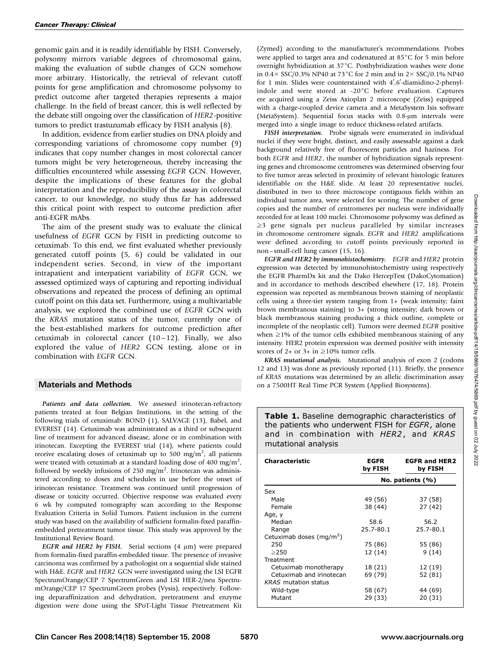genomic gain and it is readily identifiable by FISH. Conversely, polysomy mirrors variable degrees of chromosomal gains, making the evaluation of subtle changes of GCN somehow more arbitrary. Historically, the retrieval of relevant cutoff points for gene amplification and chromosome polysomy to predict outcome after targeted therapies represents a major challenge. In the field of breast cancer, this is well reflected by the debate still ongoing over the classification of HER2-positive tumors to predict trastuzumab efficacy by FISH analysis (8).

In addition, evidence from earlier studies on DNA ploidy and corresponding variations of chromosome copy number (9) indicates that copy number changes in most colorectal cancer tumors might be very heterogeneous, thereby increasing the difficulties encountered while assessing EGFR GCN. However, despite the implications of these features for the global interpretation and the reproducibility of the assay in colorectal cancer, to our knowledge, no study thus far has addressed this critical point with respect to outcome prediction after anti-EGFR mAbs.

The aim of the present study was to evaluate the clinical usefulness of EGFR GCN by FISH in predicting outcome to cetuximab. To this end, we first evaluated whether previously generated cutoff points (5, 6) could be validated in our independent series. Second, in view of the important intrapatient and interpatient variability of EGFR GCN, we assessed optimized ways of capturing and reporting individual observations and repeated the process of defining an optimal cutoff point on this data set. Furthermore, using a multivariable analysis, we explored the combined use of EGFR GCN with the KRAS mutation status of the tumor, currently one of the best-established markers for outcome prediction after cetuximab in colorectal cancer (10 – 12). Finally, we also explored the value of HER2 GCN testing, alone or in combination with EGFR GCN.

## Materials and Methods

Patients and data collection. We assessed irinotecan-refractory patients treated at four Belgian Institutions, in the setting of the following trials of cetuximab: BOND (1), SALVAGE (13), Babel, and EVEREST (14). Cetuximab was administrated as a third or subsequent line of treatment for advanced disease, alone or in combination with irinotecan. Excepting the EVEREST trial (14), where patients could receive escalating doses of cetuximab up to 500 mg/m<sup>2</sup>, all patients were treated with cetuximab at a standard loading dose of 400 mg/m<sup>2</sup>, followed by weekly infusions of 250 mg/m<sup>2</sup>. Irinotecan was administered according to doses and schedules in use before the onset of irinotecan resistance. Treatment was continued until progression of disease or toxicity occurred. Objective response was evaluated every 6 wk by computed tomography scan according to the Response Evaluation Criteria in Solid Tumors. Patient inclusion in the current study was based on the availability of sufficient formalin-fixed paraffinembedded pretreatment tumor tissue. This study was approved by the Institutional Review Board.

EGFR and HER2 by FISH. Serial sections  $(4 \mu m)$  were prepared from formalin-fixed paraffin-embedded tissue. The presence of invasive carcinoma was confirmed by a pathologist on a sequential slide stained with H&E. EGFR and HER2 GCN were investigated using the LSI EGFR SpectrumOrange/CEP 7 SpectrumGreen and LSI HER-2/neu SpectrumOrange/CEP 17 SpectrumGreen probes (Vysis), respectively. Following deparaffinization and dehydration, pretreatment and enzyme digestion were done using the SPoT-Light Tissue Pretreatment Kit (Zymed) according to the manufacturer's recommendations. Probes were applied to target area and codenatured at  $85^{\circ}$ C for 5 min before overnight hybridization at 37°C. Posthybridization washes were done in  $0.4 \times$  SSC/0.3% NP40 at 73<sup>°</sup>C for 2 min and in 2× SSC/0.1% NP40 for 1 min. Slides were counterstained with  $4^{\prime}, 6^{\prime}$ -diamidino-2-phenylindole and were stored at -20 $^{\circ}$ C before evaluation. Captures ere acquired using a Zeiss Axioplan 2 microscope (Zeiss) equipped with a charge-coupled device camera and a MetaSystem Isis software (MetaSystem). Sequential focus stacks with  $0.8$ - $\mu$ m intervals were merged into a single image to reduce thickness-related artifacts.

FISH interpretation. Probe signals were enumerated in individual nuclei if they were bright, distinct, and easily assessable against a dark background relatively free of fluorescent particles and haziness. For both EGFR and HER2, the number of hybridization signals representing genes and chromosome centromeres was determined observing four to five tumor areas selected in proximity of relevant histologic features identifiable on the H&E slide. At least 20 representative nuclei, distributed in two to three microscope contiguous fields within an individual tumor area, were selected for scoring. The number of gene copies and the number of centromeres per nucleus were individually recorded for at least 100 nuclei. Chromosome polysomy was defined as  $\geq$ 3 gene signals per nucleus paralleled by similar increases in chromosome centromere signals. EGFR and HER2 amplifications were defined according to cutoff points previously reported in non – small-cell lung cancer (15, 16).

EGFR and HER2 by immunohistochemistry. EGFR and HER2 protein expression was detected by immunohistochemistry using respectively the EGFR PharmDx kit and the Dako HercepTest (DakoCytomation) and in accordance to methods described elsewhere (17, 18). Protein expression was reported as membranous brown staining of neoplastic cells using a three-tier system ranging from 1+ (weak intensity; faint brown membranous staining) to 3+ (strong intensity; dark brown or black membranous staining producing a thick outline, complete or incomplete of the neoplastic cell). Tumors were deemed EGFR positive when  $\geq$ 1% of the tumor cells exhibited membranous staining of any intensity. HER2 protein expression was deemed positive with intensity scores of 2+ or 3+ in  $\geq$ 10% tumor cells.

KRAS mutational analysis. Mutational analysis of exon 2 (codons 12 and 13) was done as previously reported (11). Briefly, the presence of KRAS mutations was determined by an allelic discrimination assay on a 7500HT Real Time PCR System (Applied Biosystems).

Table 1. Baseline demographic characteristics of the patients who underwent FISH for EGFR, alone and in combination with HER2, and KRAS mutational analysis

| <b>Characteristic</b>                | EGFR<br>by FISH  | <b>EGFR and HER2</b><br>by FISH |  |
|--------------------------------------|------------------|---------------------------------|--|
|                                      | No. patients (%) |                                 |  |
| Sex                                  |                  |                                 |  |
| Male                                 | 49 (56)          | 37 (58)                         |  |
| Female                               | 38 (44)          | 27 (42)                         |  |
| Age, y                               |                  |                                 |  |
| Median                               | 58.6             | 56.2                            |  |
| Range                                | 25.7-80.1        | 25.7-80.1                       |  |
| Cetuximab doses (mg/m <sup>2</sup> ) |                  |                                 |  |
| 250                                  | 75 (86)          | 55 (86)                         |  |
| >250                                 | 12 (14)          | 9 (14)                          |  |
| Treatment                            |                  |                                 |  |
| Cetuximab monotherapy                | 18 (21)          | 12 (19)                         |  |
| Cetuximab and irinotecan             | 69 (79)          | 52 (81)                         |  |
| <b>KRAS</b> mutation status          |                  |                                 |  |
| Wild-type                            | 58 (67)          | 44 (69)                         |  |
| Mutant                               | 29 (33)          | 20 (31)                         |  |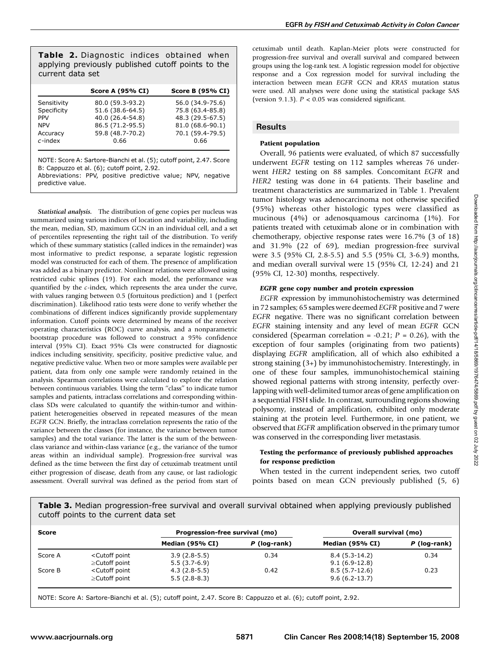Table 2. Diagnostic indices obtained when applying previously published cutoff points to the current data set

|             | <b>Score A (95% CI)</b> | <b>Score B (95% CI)</b> |
|-------------|-------------------------|-------------------------|
| Sensitivity | 80.0 (59.3-93.2)        | 56.0 (34.9-75.6)        |
| Specificity | 51.6 (38.6-64.5)        | 75.8 (63.4-85.8)        |
| <b>PPV</b>  | 40.0 (26.4-54.8)        | 48.3 (29.5-67.5)        |
| <b>NPV</b>  | 86.5 (71.2-95.5)        | 81.0 (68.6-90.1)        |
| Accuracy    | 59.8 (48.7-70.2)        | 70.1 (59.4-79.5)        |
| $c$ -index  | 0.66                    | 0.66                    |

NOTE: Score A: Sartore-Bianchi et al. (5); cutoff point, 2.47. Score B: Cappuzzo et al. (6); cutoff point, 2.92. Abbreviations: PPV, positive predictive value; NPV, negative predictive value.

Statistical analysis. The distribution of gene copies per nucleus was summarized using various indices of location and variability, including the mean, median, SD, maximum GCN in an individual cell, and a set of percentiles representing the right tail of the distribution. To verify which of these summary statistics (called indices in the remainder) was most informative to predict response, a separate logistic regression model was constructed for each of them. The presence of amplification was added as a binary predictor. Nonlinear relations were allowed using restricted cubic splines (19). For each model, the performance was quantified by the c-index, which represents the area under the curve, with values ranging between 0.5 (fortuitous prediction) and 1 (perfect discrimination). Likelihood ratio tests were done to verify whether the combinations of different indices significantly provide supplementary information. Cutoff points were determined by means of the receiver operating characteristics (ROC) curve analysis, and a nonparametric bootstrap procedure was followed to construct a 95% confidence interval (95% CI). Exact 95% CIs were constructed for diagnostic indices including sensitivity, specificity, positive predictive value, and negative predictive value. When two or more samples were available per patient, data from only one sample were randomly retained in the analysis. Spearman correlations were calculated to explore the relation between continuous variables. Using the term ''class'' to indicate tumor samples and patients, intraclass correlations and corresponding withinclass SDs were calculated to quantify the within-tumor and withinpatient heterogeneities observed in repeated measures of the mean EGFR GCN. Briefly, the intraclass correlation represents the ratio of the variance between the classes (for instance, the variance between tumor samples) and the total variance. The latter is the sum of the betweenclass variance and within-class variance (e.g., the variance of the tumor areas within an individual sample). Progression-free survival was defined as the time between the first day of cetuximab treatment until either progression of disease, death from any cause, or last radiologic assessment. Overall survival was defined as the period from start of cetuximab until death. Kaplan-Meier plots were constructed for progression-free survival and overall survival and compared between groups using the log-rank test. A logistic regression model for objective response and a Cox regression model for survival including the interaction between mean EGFR GCN and KRAS mutation status were used. All analyses were done using the statistical package SAS (version 9.1.3).  $P < 0.05$  was considered significant.

## **Results**

## Patient population

Overall, 96 patients were evaluated, of which 87 successfully underwent EGFR testing on 112 samples whereas 76 underwent HER2 testing on 88 samples. Concomitant EGFR and HER2 testing was done in 64 patients. Their baseline and treatment characteristics are summarized in Table 1. Prevalent tumor histology was adenocarcinoma not otherwise specified (95%) whereas other histologic types were classified as mucinous (4%) or adenosquamous carcinoma (1%). For patients treated with cetuximab alone or in combination with chemotherapy, objective response rates were 16.7% (3 of 18) and 31.9% (22 of 69), median progression-free survival were 3.5 (95% CI, 2.8-5.5) and 5.5 (95% CI, 3-6.9) months, and median overall survival were 15 (95% CI, 12-24) and 21 (95% CI, 12-30) months, respectively.

## EGFR gene copy number and protein expression

EGFR expression by immunohistochemistry was determined in 72 samples; 65 samples were deemed EGFR positive and 7 were EGFR negative. There was no significant correlation between EGFR staining intensity and any level of mean EGFR GCN considered (Spearman correlation = -0.21;  $P = 0.26$ ), with the exception of four samples (originating from two patients) displaying EGFR amplification, all of which also exhibited a strong staining (3+) by immunohistochemistry. Interestingly, in one of these four samples, immunohistochemical staining showed regional patterns with strong intensity, perfectly overlapping with well-delimited tumor areas of gene amplification on a sequential FISH slide. In contrast, surrounding regions showing polysomy, instead of amplification, exhibited only moderate staining at the protein level. Furthermore, in one patient, we observed that EGFR amplification observed in the primary tumor was conserved in the corresponding liver metastasis.

#### Testing the performance of previously published approaches for response prediction

When tested in the current independent series, two cutoff points based on mean GCN previously published (5, 6)

Table 3. Median progression-free survival and overall survival obtained when applying previously published cutoff points to the current data set

| Score   |                                                                                                                                  | Progression-free survival (mo) |              | <b>Overall survival (mo)</b> |              |
|---------|----------------------------------------------------------------------------------------------------------------------------------|--------------------------------|--------------|------------------------------|--------------|
|         |                                                                                                                                  | Median (95% CI)                | P (log-rank) | Median (95% CI)              | P (log-rank) |
| Score A | <cutoff point<="" td=""><td><math>3.9(2.8-5.5)</math></td><td>0.34</td><td><math>8.4(5.3-14.2)</math></td><td>0.34</td></cutoff> | $3.9(2.8-5.5)$                 | 0.34         | $8.4(5.3-14.2)$              | 0.34         |
|         | $\geq$ Cutoff point                                                                                                              | $5.5(3.7-6.9)$                 |              | $9.1(6.9-12.8)$              |              |
| Score B | <cutoff point<="" td=""><td><math>4.3(2.8-5.5)</math></td><td>0.42</td><td><math>8.5(5.7-12.6)</math></td><td>0.23</td></cutoff> | $4.3(2.8-5.5)$                 | 0.42         | $8.5(5.7-12.6)$              | 0.23         |
|         | $\geq$ Cutoff point                                                                                                              | $5.5(2.8-8.3)$                 |              | $9.6(6.2 - 13.7)$            |              |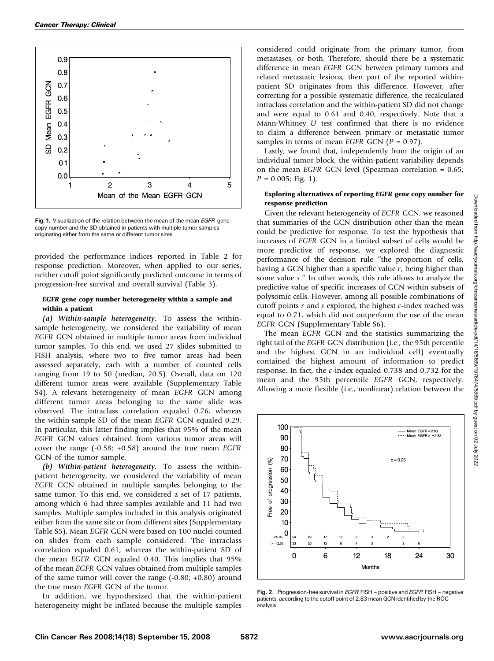

Fig. 1. Visualization of the relation between the mean of the mean *EGFR* gene copy number and the SD obtained in patients with multiple tumor samples originating either from the same or different tumor sites.

provided the performance indices reported in Table 2 for response prediction. Moreover, when applied to our series, neither cutoff point significantly predicted outcome in terms of progression-free survival and overall survival (Table 3).

## EGFR gene copy number heterogeneity within a sample and within a patient

(a) Within-sample heterogeneity. To assess the withinsample heterogeneity, we considered the variability of mean EGFR GCN obtained in multiple tumor areas from individual tumor samples. To this end, we used 27 slides submitted to FISH analysis, where two to five tumor areas had been assessed separately, each with a number of counted cells ranging from 19 to 50 (median, 20.5). Overall, data on 120 different tumor areas were available (Supplementary Table S4). A relevant heterogeneity of mean EGFR GCN among different tumor areas belonging to the same slide was observed. The intraclass correlation equaled 0.76, whereas the within-sample SD of the mean EGFR GCN equaled 0.29. In particular, this latter finding implies that 95% of the mean EGFR GCN values obtained from various tumor areas will cover the range (-0.58; +0.58) around the true mean EGFR GCN of the tumor sample.

(b) Within-patient heterogeneity. To assess the withinpatient heterogeneity, we considered the variability of mean EGFR GCN obtained in multiple samples belonging to the same tumor. To this end, we considered a set of 17 patients, among which 6 had three samples available and 11 had two samples. Multiple samples included in this analysis originated either from the same site or from different sites (Supplementary Table S5). Mean EGFR GCN were based on 100 nuclei counted on slides from each sample considered. The intraclass correlation equaled 0.61, whereas the within-patient SD of the mean EGFR GCN equaled 0.40. This implies that 95% of the mean EGFR GCN values obtained from multiple samples of the same tumor will cover the range (-0.80; +0.80) around the true mean EGFR GCN of the tumor.

In addition, we hypothesized that the within-patient heterogeneity might be inflated because the multiple samples

considered could originate from the primary tumor, from metastases, or both. Therefore, should there be a systematic difference in mean EGFR GCN between primary tumors and related metastatic lesions, then part of the reported withinpatient SD originates from this difference. However, after correcting for a possible systematic difference, the recalculated intraclass correlation and the within-patient SD did not change and were equal to 0.61 and 0.40, respectively. Note that a Mann-Whitney U test confirmed that there is no evidence to claim a difference between primary or metastatic tumor samples in terms of mean EGFR GCN ( $P = 0.97$ ).

Lastly, we found that, independently from the origin of an individual tumor block, the within-patient variability depends on the mean EGFR GCN level (Spearman correlation = 0.65;  $P = 0.005$ ; Fig. 1).

## Exploring alternatives of reporting EGFR gene copy number for response prediction

Given the relevant heterogeneity of EGFR GCN, we reasoned that summaries of the GCN distribution other than the mean could be predictive for response. To test the hypothesis that increases of EGFR GCN in a limited subset of cells would be more predictive of response, we explored the diagnostic performance of the decision rule ''the proportion of cells, having a GCN higher than a specific value  $r$ , being higher than some value s.'' In other words, this rule allows to analyze the predictive value of specific increases of GCN within subsets of polysomic cells. However, among all possible combinations of cutoff points  $r$  and  $s$  explored, the highest  $c$ -index reached was equal to 0.71, which did not outperform the use of the mean EGFR GCN (Supplementary Table S6).

The mean EGFR GCN and the statistics summarizing the right tail of the EGFR GCN distribution (i.e., the 95th percentile and the highest GCN in an individual cell) eventually contained the highest amount of information to predict response. In fact, the c-index equaled 0.738 and 0.732 for the mean and the 95th percentile EGFR GCN, respectively. Allowing a more flexible (i.e., nonlinear) relation between the



Fig. 2. Progression-free survival in EGFR FISH - positive and EGFR FISH - negative patients, according to the cutoff point of 2.83 mean GCNidentified by the ROC analysis.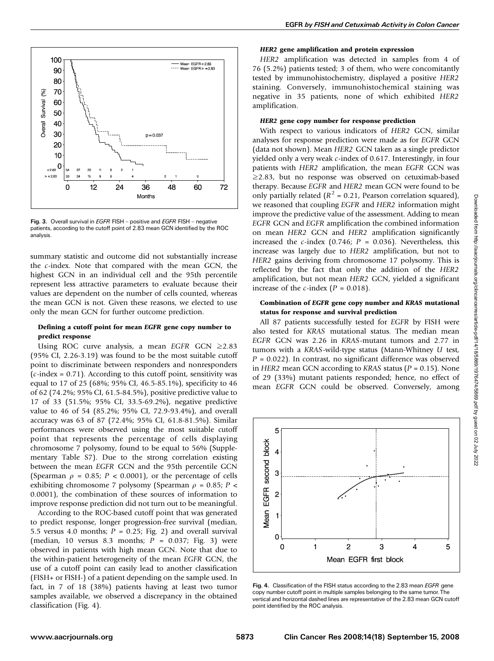

Fig. 3. Overall survival in EGFR FISH - positive and EGFR FISH - negative patients, according to the cutoff point of 2.83 mean GCN identified by the ROC analysis.

summary statistic and outcome did not substantially increase the  $c$ -index. Note that compared with the mean GCN, the highest GCN in an individual cell and the 95th percentile represent less attractive parameters to evaluate because their values are dependent on the number of cells counted, whereas the mean GCN is not. Given these reasons, we elected to use only the mean GCN for further outcome prediction.

#### Defining a cutoff point for mean EGFR gene copy number to predict response

Using ROC curve analysis, a mean EGFR GCN  $\geq 2.83$ (95% CI, 2.26-3.19) was found to be the most suitable cutoff point to discriminate between responders and nonresponders ( $c$ -index = 0.71). According to this cutoff point, sensitivity was equal to 17 of 25 (68%; 95% CI, 46.5-85.1%), specificity to 46 of 62 (74.2%; 95% CI, 61.5-84.5%), positive predictive value to 17 of 33 (51.5%; 95% CI, 33.5-69.2%), negative predictive value to 46 of 54 (85.2%; 95% CI, 72.9-93.4%), and overall accuracy was 63of 87 (72.4%; 95% CI, 61.8-81.5%). Similar performances were observed using the most suitable cutoff point that represents the percentage of cells displaying chromosome 7 polysomy, found to be equal to 56% (Supplementary Table S7). Due to the strong correlation existing between the mean EGFR GCN and the 95th percentile GCN (Spearman  $\rho = 0.85$ ;  $P < 0.0001$ ), or the percentage of cells exhibiting chromosome 7 polysomy (Spearman  $\rho$  = 0.85; P < 0.0001), the combination of these sources of information to improve response prediction did not turn out to be meaningful.

According to the ROC-based cutoff point that was generated to predict response, longer progression-free survival (median, 5.5 versus 4.0 months;  $P = 0.25$ ; Fig. 2) and overall survival (median, 10 versus 8.3 months;  $P = 0.037$ ; Fig. 3) were observed in patients with high mean GCN. Note that due to the within-patient heterogeneity of the mean EGFR GCN, the use of a cutoff point can easily lead to another classification (FISH+ or FISH-) of a patient depending on the sample used. In fact, in 7 of 18 (38%) patients having at least two tumor samples available, we observed a discrepancy in the obtained classification (Fig. 4).

#### HER2 gene amplification and protein expression

HER2 amplification was detected in samples from 4 of 76 (5.2%) patients tested; 3 of them, who were concomitantly tested by immunohistochemistry, displayed a positive HER2 staining. Conversely, immunohistochemical staining was negative in 35 patients, none of which exhibited HER2 amplification.

#### HER2 gene copy number for response prediction

With respect to various indicators of HER2 GCN, similar analyses for response prediction were made as for EGFR GCN (data not shown). Mean HER2 GCN taken as a single predictor yielded only a very weak c-index of 0.617. Interestingly, in four patients with HER2 amplification, the mean EGFR GCN was  $\geq$ 2.83, but no response was observed on cetuximab-based therapy. Because EGFR and HER2 mean GCN were found to be only partially related ( $R^2$  = 0.21, Pearson correlation squared), we reasoned that coupling EGFR and HER2 information might improve the predictive value of the assessment. Adding to mean EGFR GCN and EGFR amplification the combined information on mean HER2 GCN and HER2 amplification significantly increased the *c*-index (0.746;  $P = 0.036$ ). Nevertheless, this increase was largely due to HER2 amplification, but not to HER2 gains deriving from chromosome 17 polysomy. This is reflected by the fact that only the addition of the HER2 amplification, but not mean HER2 GCN, yielded a significant increase of the *c*-index ( $P = 0.018$ ).

#### Combination of EGFR gene copy number and KRAS mutational status for response and survival prediction

All 87 patients successfully tested for EGFR by FISH were also tested for KRAS mutational status. The median mean EGFR GCN was 2.26 in KRAS-mutant tumors and 2.77 in tumors with a KRAS-wild-type status (Mann-Whitney U test,  $P = 0.022$ ). In contrast, no significant difference was observed in HER2 mean GCN according to KRAS status ( $P = 0.15$ ). None of 29 (33%) mutant patients responded; hence, no effect of mean EGFR GCN could be observed. Conversely, among



Fig. 4. Classification of the FISH status according to the 2.83 mean EGFR gene copy number cutoff point in multiple samples belonging to the same tumor. The vertical and horizontal dashed lines are representative of the 2.83 mean GCN cutoff point identified by the ROC analysis.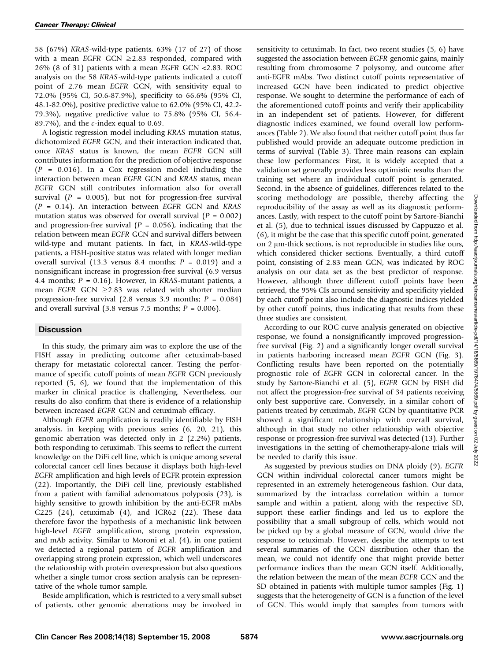58 (67%) KRAS-wild-type patients, 63% (17 of 27) of those with a mean EGFR GCN  $\geq$ 2.83 responded, compared with 26% (8 of 31) patients with a mean EGFR GCN <2.83. ROC analysis on the 58 KRAS-wild-type patients indicated a cutoff point of 2.76 mean EGFR GCN, with sensitivity equal to 72.0% (95% CI, 50.6-87.9%), specificity to 66.6% (95% CI, 48.1-82.0%), positive predictive value to 62.0% (95% CI, 42.2- 79.3%), negative predictive value to 75.8% (95% CI, 56.4- 89.7%), and the  $c$ -index equal to 0.69.

A logistic regression model including KRAS mutation status, dichotomized EGFR GCN, and their interaction indicated that, once KRAS status is known, the mean EGFR GCN still contributes information for the prediction of objective response  $(P = 0.016)$ . In a Cox regression model including the interaction between mean EGFR GCN and KRAS status, mean EGFR GCN still contributes information also for overall survival  $(P = 0.005)$ , but not for progression-free survival  $(P = 0.14)$ . An interaction between EGFR GCN and KRAS mutation status was observed for overall survival  $(P = 0.002)$ and progression-free survival ( $P = 0.056$ ), indicating that the relation between mean EGFR GCN and survival differs between wild-type and mutant patients. In fact, in KRAS-wild-type patients, a FISH-positive status was related with longer median overall survival (13.3 versus 8.4 months;  $P = 0.019$ ) and a nonsignificant increase in progression-free survival (6.9 versus 4.4 months;  $P = 0.16$ ). However, in KRAS-mutant patients, a mean EGFR GCN  $\geq$ 2.83 was related with shorter median progression-free survival (2.8 versus 3.9 months;  $P = 0.084$ ) and overall survival (3.8 versus 7.5 months;  $P = 0.006$ ).

## **Discussion**

In this study, the primary aim was to explore the use of the FISH assay in predicting outcome after cetuximab-based therapy for metastatic colorectal cancer. Testing the performance of specific cutoff points of mean EGFR GCN previously reported (5, 6), we found that the implementation of this marker in clinical practice is challenging. Nevertheless, our results do also confirm that there is evidence of a relationship between increased EGFR GCN and cetuximab efficacy.

Although EGFR amplification is readily identifiable by FISH analysis, in keeping with previous series (6, 20, 21), this genomic aberration was detected only in 2 (2.2%) patients, both responding to cetuximab. This seems to reflect the current knowledge on the DiFi cell line, which is unique among several colorectal cancer cell lines because it displays both high-level EGFR amplification and high levels of EGFR protein expression (22). Importantly, the DiFi cell line, previously established from a patient with familial adenomatous polyposis (23), is highly sensitive to growth inhibition by the anti-EGFR mAbs C225 (24), cetuximab (4), and ICR62 (22). These data therefore favor the hypothesis of a mechanistic link between high-level EGFR amplification, strong protein expression, and mAb activity. Similar to Moroni et al. (4), in one patient we detected a regional pattern of EGFR amplification and overlapping strong protein expression, which well underscores the relationship with protein overexpression but also questions whether a single tumor cross section analysis can be representative of the whole tumor sample.

Beside amplification, which is restricted to a very small subset of patients, other genomic aberrations may be involved in

sensitivity to cetuximab. In fact, two recent studies (5, 6) have suggested the association between EGFR genomic gains, mainly resulting from chromosome 7 polysomy, and outcome after anti-EGFR mAbs. Two distinct cutoff points representative of increased GCN have been indicated to predict objective response. We sought to determine the performance of each of the aforementioned cutoff points and verify their applicability in an independent set of patients. However, for different diagnostic indices examined, we found overall low performances (Table 2). We also found that neither cutoff point thus far published would provide an adequate outcome prediction in terms of survival (Table 3). Three main reasons can explain these low performances: First, it is widely accepted that a validation set generally provides less optimistic results than the training set where an individual cutoff point is generated. Second, in the absence of guidelines, differences related to the scoring methodology are possible, thereby affecting the reproducibility of the assay as well as its diagnostic performances. Lastly, with respect to the cutoff point by Sartore-Bianchi et al. (5), due to technical issues discussed by Cappuzzo et al. (6), it might be the case that this specific cutoff point, generated on 2  $\mu$ m-thick sections, is not reproducible in studies like ours, which considered thicker sections. Eventually, a third cutoff point, consisting of 2.83 mean GCN, was indicated by ROC analysis on our data set as the best predictor of response. However, although three different cutoff points have been retrieved, the 95% CIs around sensitivity and specificity yielded by each cutoff point also include the diagnostic indices yielded by other cutoff points, thus indicating that results from these three studies are consistent.

According to our ROC curve analysis generated on objective response, we found a nonsignificantly improved progressionfree survival (Fig. 2) and a significantly longer overall survival in patients harboring increased mean EGFR GCN (Fig. 3). Conflicting results have been reported on the potentially prognostic role of EGFR GCN in colorectal cancer. In the study by Sartore-Bianchi et al. (5), EGFR GCN by FISH did not affect the progression-free survival of 34 patients receiving only best supportive care. Conversely, in a similar cohort of patients treated by cetuximab, EGFR GCN by quantitative PCR showed a significant relationship with overall survival, although in that study no other relationship with objective response or progression-free survival was detected (13). Further investigations in the setting of chemotherapy-alone trials will be needed to clarify this issue.

As suggested by previous studies on DNA ploidy (9), EGFR GCN within individual colorectal cancer tumors might be represented in an extremely heterogeneous fashion. Our data, summarized by the intraclass correlation within a tumor sample and within a patient, along with the respective SD, support these earlier findings and led us to explore the possibility that a small subgroup of cells, which would not be picked up by a global measure of GCN, would drive the response to cetuximab. However, despite the attempts to test several summaries of the GCN distribution other than the mean, we could not identify one that might provide better performance indices than the mean GCN itself. Additionally, the relation between the mean of the mean EGFR GCN and the SD obtained in patients with multiple tumor samples (Fig. 1) suggests that the heterogeneity of GCN is a function of the level of GCN. This would imply that samples from tumors with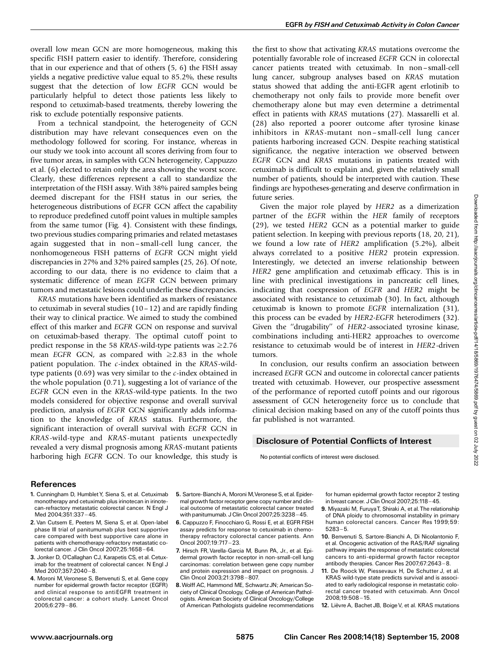overall low mean GCN are more homogeneous, making this specific FISH pattern easier to identify. Therefore, considering that in our experience and that of others (5, 6) the FISH assay yields a negative predictive value equal to 85.2%, these results suggest that the detection of low EGFR GCN would be particularly helpful to detect those patients less likely to respond to cetuximab-based treatments, thereby lowering the risk to exclude potentially responsive patients.

From a technical standpoint, the heterogeneity of GCN distribution may have relevant consequences even on the methodology followed for scoring. For instance, whereas in our study we took into account all scores deriving from four to five tumor areas, in samples with GCN heterogeneity, Cappuzzo et al. (6) elected to retain only the area showing the worst score. Clearly, these differences represent a call to standardize the interpretation of the FISH assay. With 38% paired samples being deemed discrepant for the FISH status in our series, the heterogeneous distributions of EGFR GCN affect the capability to reproduce predefined cutoff point values in multiple samples from the same tumor (Fig. 4). Consistent with these findings, two previous studies comparing primaries and related metastases again suggested that in non – small-cell lung cancer, the nonhomogeneous FISH patterns of EGFR GCN might yield discrepancies in 27% and 32% paired samples (25, 26). Of note, according to our data, there is no evidence to claim that a systematic difference of mean EGFR GCN between primary tumors and metastatic lesions could underlie these discrepancies.

KRAS mutations have been identified as markers of resistance to cetuximab in several studies (10– 12) and are rapidly finding their way to clinical practice. We aimed to study the combined effect of this marker and EGFR GCN on response and survival on cetuximab-based therapy. The optimal cutoff point to predict response in the 58 KRAS-wild-type patients was  $\geq$ 2.76 mean EGFR GCN, as compared with  $\geq$ 2.83 in the whole patient population. The c-index obtained in the KRAS-wildtype patients  $(0.69)$  was very similar to the  $c$ -index obtained in the whole population (0.71), suggesting a lot of variance of the EGFR GCN even in the KRAS-wild-type patients. In the two models considered for objective response and overall survival prediction, analysis of EGFR GCN significantly adds information to the knowledge of KRAS status. Furthermore, the significant interaction of overall survival with EGFR GCN in KRAS-wild-type and KRAS-mutant patients unexpectedly revealed a very dismal prognosis among KRAS-mutant patients harboring high EGFR GCN. To our knowledge, this study is the first to show that activating KRAS mutations overcome the potentially favorable role of increased EGFR GCN in colorectal cancer patients treated with cetuximab. In non – small-cell lung cancer, subgroup analyses based on KRAS mutation status showed that adding the anti-EGFR agent erlotinib to chemotherapy not only fails to provide more benefit over chemotherapy alone but may even determine a detrimental effect in patients with KRAS mutations (27). Massarelli et al. (28) also reported a poorer outcome after tyrosine kinase inhibitors in KRAS-mutant non– small-cell lung cancer patients harboring increased GCN. Despite reaching statistical significance, the negative interaction we observed between EGFR GCN and KRAS mutations in patients treated with cetuximab is difficult to explain and, given the relatively small number of patients, should be interpreted with caution. These findings are hypotheses-generating and deserve confirmation in future series.

Given the major role played by HER2 as a dimerization partner of the EGFR within the HER family of receptors (29), we tested HER2 GCN as a potential marker to guide patient selection. In keeping with previous reports (18, 20, 21), we found a low rate of HER2 amplification (5.2%), albeit always correlated to a positive HER2 protein expression. Interestingly, we detected an inverse relationship between HER2 gene amplification and cetuximab efficacy. This is in line with preclinical investigations in pancreatic cell lines, indicating that coexpression of EGFR and HER2 might be associated with resistance to cetuximab (30). In fact, although cetuximab is known to promote EGFR internalization (31), this process can be evaded by HER2-EGFR heterodimers (32). Given the ''drugability'' of HER2-associated tyrosine kinase, combinations including anti-HER2 approaches to overcome resistance to cetuximab would be of interest in HER2-driven tumors.

In conclusion, our results confirm an association between increased EGFR GCN and outcome in colorectal cancer patients treated with cetuximab. However, our prospective assessment of the performance of reported cutoff points and our rigorous assessment of GCN heterogeneity force us to conclude that clinical decision making based on any of the cutoff points thus far published is not warranted.

# Disclosure of Potential Conflicts of Interest

No potential conflicts of interest were disclosed.

## References

- 1. Cunningham D, HumbletY, Siena S, et al. Cetuximab monotherapy and cetuximab plus irinotecan in irinotecan-refractory metastatic colorectal cancer. N Engl J Med 2004:351:337-45.
- 2.Van Cutsem E, Peeters M, Siena S, et al. Open-label phase III trial of panitumumab plus best supportive care compared with best supportive care alone in patients with chemotherapy-refractory metastatic colorectal cancer. J Clin Oncol 2007;25:1658 ^ 64.
- 3. Jonker D, O'Callaghan CJ, Karapetis CS, et al. Cetuximab for the treatment of colorectal cancer. N Engl J Med 2007:357:2040-8.
- 4. Moroni M,Veronese S, Benvenuti S, et al. Gene copy number for epidermal growth factor receptor (EGFR) and clinical response to antiEGFR treatment in colorectal cancer: a cohort study. Lancet Oncol 2005;6:279-86.
- 5. Sartore-Bianchi A, MoroniM,Veronese S, et al.Epidermal growth factor receptor gene copy number and clinical outcome of metastatic colorectal cancer treated with panitumumab. J Clin Oncol 2007;25:3238-45.
- 6. Cappuzzo F, Finocchiaro G, Rossi E, et al. EGFR FISH assay predicts for response to cetuximab in chemotherapy refractory colorectal cancer patients. Ann Oncol 2007;19:717 ^ 23.
- 7. Hirsch FR, Varella-Garcia M, Bunn PA, Jr., et al. Epidermal growth factor receptor in non-small-cell lung carcinomas: correlation between gene copy number and protein expression and impact on prognosis. J Clin Oncol 2003:21:3798-807.
- 8.Wolff AC, Hammond ME, Schwartz JN; American Society of Clinical Oncology, College of American Pathologists. American Society of Clinical Oncology/College of American Pathologists guideline recommendations

for human epidermal growth factor receptor 2 testing in breast cancer. J Clin Oncol 2007;25:118-45.

- 9. Miyazaki M, FuruyaT, Shiraki A, et al.The relationship of DNA ploidy to chromosomal instability in primary human colorectal cancers. Cancer Res 1999;59:  $5283 - 5$
- 10. Benvenuti S, Sartore-Bianchi A, Di Nicolantonio F, et al. Oncogenic activation of the RAS/RAF signaling pathway impairs the response of metastatic colorectal cancers to anti-epidermal growth factor receptor antibody therapies. Cancer Res 2007;67:2643-8.
- 11. De Roock W, Piessevaux H, De Schutter J, et al. KRAS wild-type state predicts survival and is associated to early radiological response in metastatic colorectal cancer treated with cetuximab. Ann Oncol 2008;19:508 ^ 15.
- 12. Lièvre A, Bachet JB, Boige V, et al. KRAS mutations